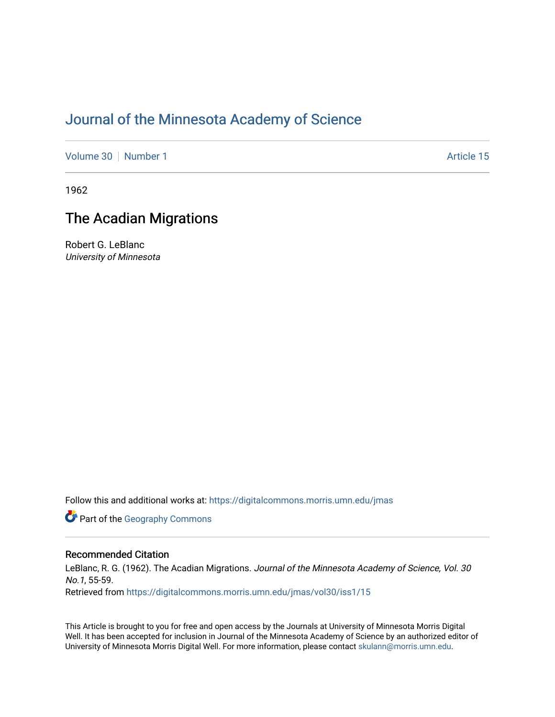## [Journal of the Minnesota Academy of Science](https://digitalcommons.morris.umn.edu/jmas)

[Volume 30](https://digitalcommons.morris.umn.edu/jmas/vol30) [Number 1](https://digitalcommons.morris.umn.edu/jmas/vol30/iss1) Article 15

1962

## The Acadian Migrations

Robert G. LeBlanc University of Minnesota

Follow this and additional works at: [https://digitalcommons.morris.umn.edu/jmas](https://digitalcommons.morris.umn.edu/jmas?utm_source=digitalcommons.morris.umn.edu%2Fjmas%2Fvol30%2Fiss1%2F15&utm_medium=PDF&utm_campaign=PDFCoverPages) 

**Part of the Geography Commons** 

#### Recommended Citation

LeBlanc, R. G. (1962). The Acadian Migrations. Journal of the Minnesota Academy of Science, Vol. 30 No.1, 55-59. Retrieved from [https://digitalcommons.morris.umn.edu/jmas/vol30/iss1/15](https://digitalcommons.morris.umn.edu/jmas/vol30/iss1/15?utm_source=digitalcommons.morris.umn.edu%2Fjmas%2Fvol30%2Fiss1%2F15&utm_medium=PDF&utm_campaign=PDFCoverPages) 

This Article is brought to you for free and open access by the Journals at University of Minnesota Morris Digital Well. It has been accepted for inclusion in Journal of the Minnesota Academy of Science by an authorized editor of University of Minnesota Morris Digital Well. For more information, please contact [skulann@morris.umn.edu](mailto:skulann@morris.umn.edu).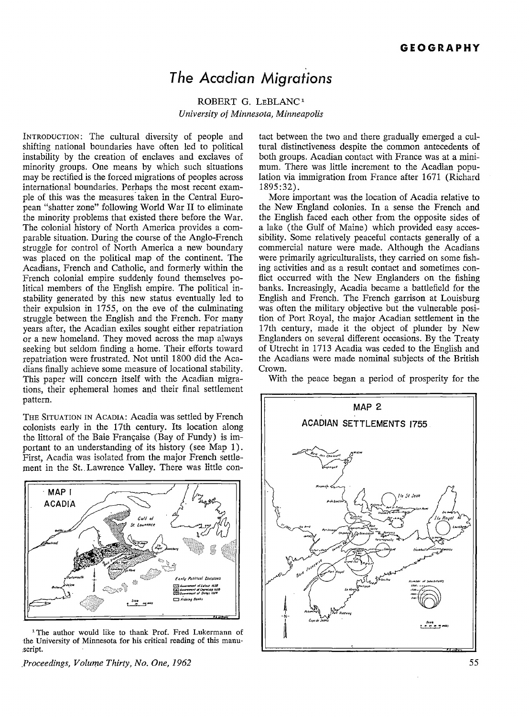# *The Acadian Migrations*

### ROBERT G. LEBLANC<sup>1</sup> *University of Minnesota, Minneapolis*

INTRODUCTION: The cultural diversity of people and shifting national boundaries have often led to political instability by the creation of enclaves and exclaves of minority groups. One means by which such situations may be rectified is the forced migrations of peoples across international boundaries. Perhaps the most recent example of this was the measures taken in the Central European "shatter zone" following World War II to eliminate the minority problems that existed there before the War. The colonial history of North America provides a comparable situation. During the course of the Anglo-French struggle for control of North America a new boundary was placed on the political map of the continent. The Acadians, French and Catholic, and formerly within the French colonial empire suddenly found themselves political members of the English empire. The political instability generated by this new status eventually led to their expulsion in  $1755$ , on the eve of the culminating struggle between the English and the French. For many years after, the Acadian exiles sought either repatriation or a new homeland. They moved across the map always seeking but seldom finding a home. Their efforts toward repatriation were frustrated. Not until 1800 did the Acadians finally achieve some measure of locational stability. This paper will concern itself with the Acadian migrations, their ephemeral homes and their final settlement pattern.

THE SITUATION IN ACADIA: Acadia was settled by French colonists early in the 17th century. Its location along the littoral of the Baie Française (Bay of Fundy) is important to an understanding of its history (see Map 1). First, Acadia was isolated from the major French settlement in the St.. Lawrence Valley. There was little con-



<sup>1</sup> The author would like to thank Prof. Fred Lukermann of ·the University of Minnesota for his critical reading of this manu- :script.

*\_Proceedings, Volume Thirty, No. One, 1962* 

tact between the two and there gradually emerged a cultural distinctiveness despite the common antecedents of both groups. Acadian contact with France was at a minimum. There was little increment to the Acadian population via immigration from France after 1671 (Richard 1895:32).

More important was the location of Acadia relative to the New England colonies. In a sense the French and the English faced each other from the opposite sides of a lake ( the Gulf of Maine) which provided easy accessibility. Some relatively peaceful contacts generally of a commercial nature were made. Although the Acadians were primarily agriculturalists, they carried on some fishing activities and as a result contact and sometimes conflict occurred with the New Englanders on the fishing banks. Increasingly, Acadia became a battlefield for the English and French. The French garrison at Louisburg was often the military objective but the vulnerable position of Port Royal, the major Acadian settlement in the 17th century, made it the object of plunder by New Englanders on several different occasions. By the Treaty of Utrecht in 1713 Acadia was ceded to the English and the Acadians were made nominal subjects of the British Crown.

With the peace began a period of prosperity for the

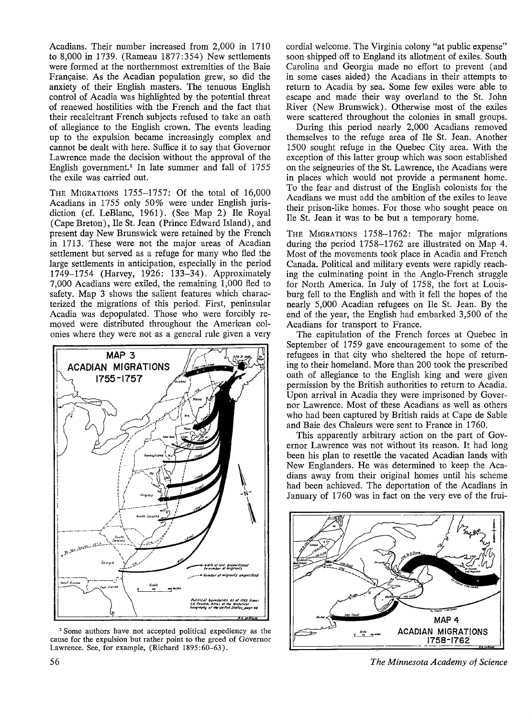Acadians. Their number increased from 2,000 in 1710 to 8,000 in 1739. (Rameau 1877:354) New settlements were formed at the northernmost extremities. of the Baie Française. As the Acadian population grew, so did the anxiety of their English masters. The tenuous English control of Acadia was highlighted by the potential threat of renewed hostilities with the French and the fact that their recalcitrant French subjects refused to take an oath of allegiance to the English crown. The events leading up to the expulsion became increasingly complex and cannot be dealt with here. Suffice it to say that Governor Lawrence made the decision without the approval of the English government.<sup>1</sup> In late summer and fall of  $1755$ the exile was carried out.

THE MIGRATIONS 1755-1757: Of the total of 16,000 Acadians in 1755 only 50% were under English jurisdiction (cf. LeBlanc, 1961). (See Map 2) Ile Royal (Cape Breton), Ile St. Jean (Prince Edward Island), and present day New Brunswick were retained by the French in 1713. These were not the major areas of Acadian settlement but served as a refuge for many who fled the large settlements in anticipation, especially in the period 1749-1754 (Harvey, 1926: 133-34). Approximately 7,000 Acadians were exiled, the remaining 1,000 fled to safety. Map 3 shows the salient features which characterized the migrations of this period. First, peninsular Acadia was depopulated. Those who were forcibly removed were distributed throughout the American colonies where they were not as a general rule given a very



1 Some authors have not accepted political expediency as the cause for the expulsion but rather point to the greed of Governor Lawrence. See, for example, (Richard 1895:60-63).

cordial welcome. The Virginia colony "at public expense" soon shipped off to England its allotment of exiles. South Carolina and Georgia made no effort to prevent ( and in some cases aided) the Acadians in their attempts to return to Acadia by sea. Some few exiles were able to escape and made their way overland to the St. John River (New Brunswick). Otherwise most of the exiles were scattered throughout the colonies in small groups.

During this period nearly 2,000 Acadians removed themselves to the refuge area of Ile St. Jean. Another 1500 sought refuge in the Quebec City area. With the exception of this latter group which was soon established on the seigneuries of the St. Lawrence, the Acadians were in places which would not provide a permanent home. To the fear and distrust of the English colonists for the Acadians we must add the ambition of the exiles to leave their prison-like homes. For those who sought peace on Ile St. Jean it was to be but a temporary home.

THE MIGRATIONS 1758-1762: The major migrations during the period 1758-1762 are illustrated on Map 4. Most of the movements took place in Acadia and French Canada. Political and military events were rapidly reaching the culminating point in the Anglo-French struggle for North America. In July of 1758, the fort at Louisburg fell to the English and with it fell the hopes of the nearly 5,000 Acadian refugees on Ile St. Jean. By the end of the year, the English had embarked 3,500 of the Acadians for transport to France.

The capitulation of the French forces at Quebec in September of 1759 gave encouragement to some of the refugees in that city who sheltered the hope of returning to their homeland. More than 200 took the prescribed oath of allegiance to the English king and were given permission by the British authorities to return to Acadia. Upon arrival in Acadia they were imprisoned by Governor Lawrence. Most of these Acadians as well as others who had been captured by British raids at Cape de Sable and Baie des Chaleurs were sent to France in 1760.

This apparently arbitrary action on the part of Governor Lawrence was not without its reason. It had long been his plan to resettle the vacated Acadian lands with New Englanders. He was determined to keep the Acadians away from their original homes until his scheme had been achieved. The deportation of the Acadians in January of 1760 was in fact on the very eve of the frui-



*The Minnesota Academy of Science*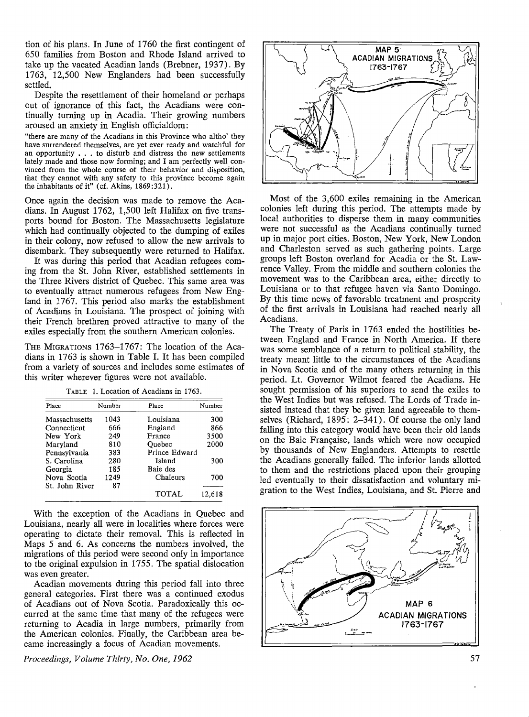tion of his plans. In June of 1760 the first contingent of 650 families from Boston and Rhode Island arrived to take up the vacated Acadian lands (Brebner, 1937). By 1763, 12,500 New Englanders had been successfully settled.

Despite the resettlement of their homeland or perhaps out of ignorance of this fact, the Acadians were continually turning up in Acadia. Their growing numbers aroused an anxiety in English officialdom:

"there are many of the Acadians in this Province who altho' they have surrendered themselves, are yet ever ready and watchful for an opportunity . . . to disturb and distress the new settlements lately made and those now forming; and I am perfectly well convinced from the whole course of their behavior and disposition, that they cannot with any safety to this province become again the inhabitants of it" (cf. Akins, 1869:321).

Once again the decision was made to remove the Acadians. In August 1762, 1,500 left Halifax on five transports bound for Boston. The Massachusetts legislature which had continually objected to the dumping of exiles in their colony, now refused to allow the new arrivals to disembark. They subsequently were returned to Halifax.

It was during this period that Acadian refugees coming from the St. John River, established settlements in the Three Rivers district of Quebec. This same area was to eventually attract numerous refugees from New England in 1767. This period also marks the establishment of Acadians in Louisiana. The prospect of joining with their French brethren proved attractive to many of the exiles especially from the southern American colonies.

THE MIGRATIONS 1763-1767: The location of the Acadians in 1763 is shown in Table I. It has been compiled from a variety of sources and includes some estimates of this writer wherever figures were not available.

| Place          | Number | Place         | Number |
|----------------|--------|---------------|--------|
| Massachusetts  | 1043   | Louisiana     | 300    |
| Connecticut    | 666    | England       | 866    |
| New York       | 249    | France        | 3500   |
| Maryland       | 810    | Ouebec        | 2000   |
| Pennsylvania   | 383    | Prince Edward |        |
| S. Carolina    | 280    | Island        | 300    |
| Georgia        | 185    | Baie des      |        |
| Nova Scotia    | 1249   | Chaleurs      | 700    |
| St. John River | 87     |               |        |
|                |        | TOTAL         | 12.618 |

TABLE 1. Location of Acadians in 1763.

With the exception of the Acadians in Quebec and Louisiana, nearly all were in localities where forces were operating to dictate their removal. This is reflected in Maps *5* and 6. As concerns the numbers involved, the migrations of this period were second only in importance to the original expulsion in 1755. The spatial dislocation was even greater.

Acadian movements during this period fall into three general categories. First there was a continued exodus of Acadians out of Nova Scotia. Paradoxically this occurred at the same time that many of the refugees were returning to Acadia in large numbers, primarily from the American colonies. Finally, the Caribbean area became increasingly a focus of Acadian movements.

*Proceedings, Volume Thirty, No. One, 1962* 



Most of the 3,600 exiles remaining in the American colonies left during this period. The attempts made by local authorities to disperse them in many communities were not successful as the Acadians continually turned up in major port cities. Boston, New York, New London and Charleston served as such gathering points. Large groups left Boston overland for Acadia or the St. Lawrence Valley. From the middle and southern colonies the movement was to the Caribbean area, either directly to Louisiana or to that refugee haven via Santo Domingo. By this time news of favorable treatment and prosperity of the first arrivals in Louisiana had reached nearly all Acadians.

The Treaty of Paris in 1763 ended the hostilities between England and France in North America. If there was some semblance of a return to political stability, the treaty meant little to the circumstances of the Acadians in Nova Scotia and of the many others returning in this period. Lt. Governor Wilmot feared the Acadians. He sought permission of his superiors to send the exiles to the West Indies but was refused. The Lords of Trade insisted instead that they be given land agreeable to themselves (Richard, 1895: 2-341). Of course the only land falling into this category would have been their old lands on the Baie Française, lands which were now occupied by thousands of New Englanders. Attempts to resettle the Acadians generally failed. The inferior lands allotted to them and the restrictions placed upon their grouping led eventually to their dissatisfaction and voluntary migration to the West Indies, Louisiana, and St. Pierre and

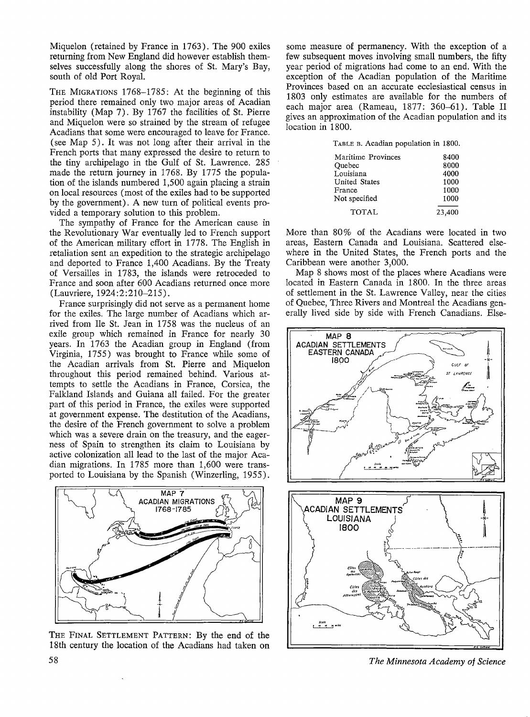Miquelon (retained by France in 1763). The 900 exiles returning from New England did however establish themselves successfully along the shores of St. Mary's Bay, south of old Port Royal.

THE MIGRATIONS 1768-1785: At the beginning of this period there remained only two major areas of Acadian instability (Map 7). By 1767 the facilities of St. Pierre and Miquelon were so strained by the stream of refugee Acadians that some were encouraged to leave for France. (see Map 5). It was not long after their arrival in the French ports that many expressed the desire to return to the tiny archipelago in the Gulf of St. Lawrence. 285 made the return journey in 1768. By 1775 the population of the islands numbered 1,500 again placing a strain on local resources (most of the exiles had to be supported by the government). A new turn of political events provided a temporary solution to this problem.

The sympathy of France for the American cause in the Revolutionary War eventually led to French support of the American military effort in 1778. The English in retaliation sent an expedition to the strategic archipelago and deported to France 1,400 Acadians. By the Treaty of Versailles in 1783, the islands were retroceded to France and soon after 600 Acadians returned once more (Lauvriere, 1924:2:210-215).

France surprisingly did not serve as a permanent home for the exiles. The large number of Acadians which arrived from Ile St. Jean in 1758 was the nucleus of an exile group which remained in France for nearly 30 years. In 1763 the Acadian group in England (from Virginia, 1755) was brought to France while some of the Acadian arrivals from St. Pierre and Miquelon throughout this period remained behind. Various attempts to settle the Acadians in France, Corsica, the Falkland Islands and Guiana all failed. For the greater part of this period in France, the exiles were supported at government expense. The destitution of the Acadians, the desire of the French government to solve a problem which was a severe drain on the treasury, and the eagerness of Spain to strengthen its claim to Louisiana by active colonization all lead to the last of the major Acadian migrations. In 1785 more than 1,600 were transported to Louisiana by the Spanish (Winzerling, 1955).



THE FINAL SETTLEMENT PATTERN: By the end of the 18th century the location of the Acadians had taken on

some measure of permanency. With the exception of a few subsequent moves involving small numbers, the fifty year period of migrations had come to an end. With the exception of the Acadian population of the Maritime Provinces based on an accurate ecclesiastical census in 1803 only estimates are available for the numbers of each major area (Rameau, 1877: 360-61). Table II gives an approximation of the Acadian population and its location in 1800.

TABLE B. Acadian population in 1800.

| Maritime Provinces   | 8400   |
|----------------------|--------|
| Ouebec               | 8000   |
| Louisiana            | 4000   |
| <b>United States</b> | 1000   |
| France               | 1000   |
| Not specified        | 1000   |
| TOTAL                | 23,400 |
|                      |        |

More than  $80\%$  of the Acadians were located in two areas, Eastern Canada and Louisiana. Scattered elsewhere in the United States, the French ports and the Caribbean were another 3,000.

Map 8 shows most of the places where Acadians were located in Eastern Canada in 1800. In the three areas of settlement in the St. Lawrence Valley, near the cities of Quebec, Three Rivers and Montreal the Acadians generally lived side by side with French Canadians. Else-



*The Minnesota Academy of Science*